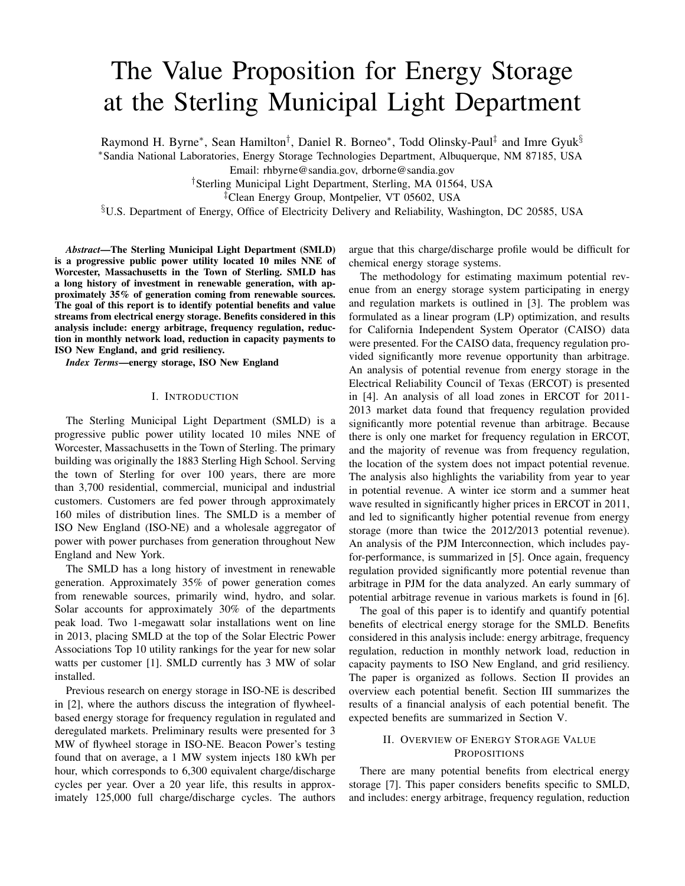# The Value Proposition for Energy Storage at the Sterling Municipal Light Department

Raymond H. Byrne\*, Sean Hamilton<sup>†</sup>, Daniel R. Borneo\*, Todd Olinsky-Paul<sup>‡</sup> and Imre Gyuk<sup>§</sup> <sup>∗</sup>Sandia National Laboratories, Energy Storage Technologies Department, Albuquerque, NM 87185, USA Email: rhbyrne@sandia.gov, drborne@sandia.gov

†Sterling Municipal Light Department, Sterling, MA 01564, USA

‡Clean Energy Group, Montpelier, VT 05602, USA

§U.S. Department of Energy, Office of Electricity Delivery and Reliability, Washington, DC 20585, USA

*Abstract*—The Sterling Municipal Light Department (SMLD) is a progressive public power utility located 10 miles NNE of Worcester, Massachusetts in the Town of Sterling. SMLD has a long history of investment in renewable generation, with approximately 35% of generation coming from renewable sources. The goal of this report is to identify potential benefits and value streams from electrical energy storage. Benefits considered in this analysis include: energy arbitrage, frequency regulation, reduction in monthly network load, reduction in capacity payments to ISO New England, and grid resiliency.

*Index Terms*—energy storage, ISO New England

# I. INTRODUCTION

The Sterling Municipal Light Department (SMLD) is a progressive public power utility located 10 miles NNE of Worcester, Massachusetts in the Town of Sterling. The primary building was originally the 1883 Sterling High School. Serving the town of Sterling for over 100 years, there are more than 3,700 residential, commercial, municipal and industrial customers. Customers are fed power through approximately 160 miles of distribution lines. The SMLD is a member of ISO New England (ISO-NE) and a wholesale aggregator of power with power purchases from generation throughout New England and New York.

The SMLD has a long history of investment in renewable generation. Approximately 35% of power generation comes from renewable sources, primarily wind, hydro, and solar. Solar accounts for approximately 30% of the departments peak load. Two 1-megawatt solar installations went on line in 2013, placing SMLD at the top of the Solar Electric Power Associations Top 10 utility rankings for the year for new solar watts per customer [1]. SMLD currently has 3 MW of solar installed.

Previous research on energy storage in ISO-NE is described in [2], where the authors discuss the integration of flywheelbased energy storage for frequency regulation in regulated and deregulated markets. Preliminary results were presented for 3 MW of flywheel storage in ISO-NE. Beacon Power's testing found that on average, a 1 MW system injects 180 kWh per hour, which corresponds to 6,300 equivalent charge/discharge cycles per year. Over a 20 year life, this results in approximately 125,000 full charge/discharge cycles. The authors argue that this charge/discharge profile would be difficult for chemical energy storage systems.

The methodology for estimating maximum potential revenue from an energy storage system participating in energy and regulation markets is outlined in [3]. The problem was formulated as a linear program (LP) optimization, and results for California Independent System Operator (CAISO) data were presented. For the CAISO data, frequency regulation provided significantly more revenue opportunity than arbitrage. An analysis of potential revenue from energy storage in the Electrical Reliability Council of Texas (ERCOT) is presented in [4]. An analysis of all load zones in ERCOT for 2011- 2013 market data found that frequency regulation provided significantly more potential revenue than arbitrage. Because there is only one market for frequency regulation in ERCOT, and the majority of revenue was from frequency regulation, the location of the system does not impact potential revenue. The analysis also highlights the variability from year to year in potential revenue. A winter ice storm and a summer heat wave resulted in significantly higher prices in ERCOT in 2011, and led to significantly higher potential revenue from energy storage (more than twice the 2012/2013 potential revenue). An analysis of the PJM Interconnection, which includes payfor-performance, is summarized in [5]. Once again, frequency regulation provided significantly more potential revenue than arbitrage in PJM for the data analyzed. An early summary of potential arbitrage revenue in various markets is found in [6].

The goal of this paper is to identify and quantify potential benefits of electrical energy storage for the SMLD. Benefits considered in this analysis include: energy arbitrage, frequency regulation, reduction in monthly network load, reduction in capacity payments to ISO New England, and grid resiliency. The paper is organized as follows. Section II provides an overview each potential benefit. Section III summarizes the results of a financial analysis of each potential benefit. The expected benefits are summarized in Section V.

# II. OVERVIEW OF ENERGY STORAGE VALUE **PROPOSITIONS**

There are many potential benefits from electrical energy storage [7]. This paper considers benefits specific to SMLD, and includes: energy arbitrage, frequency regulation, reduction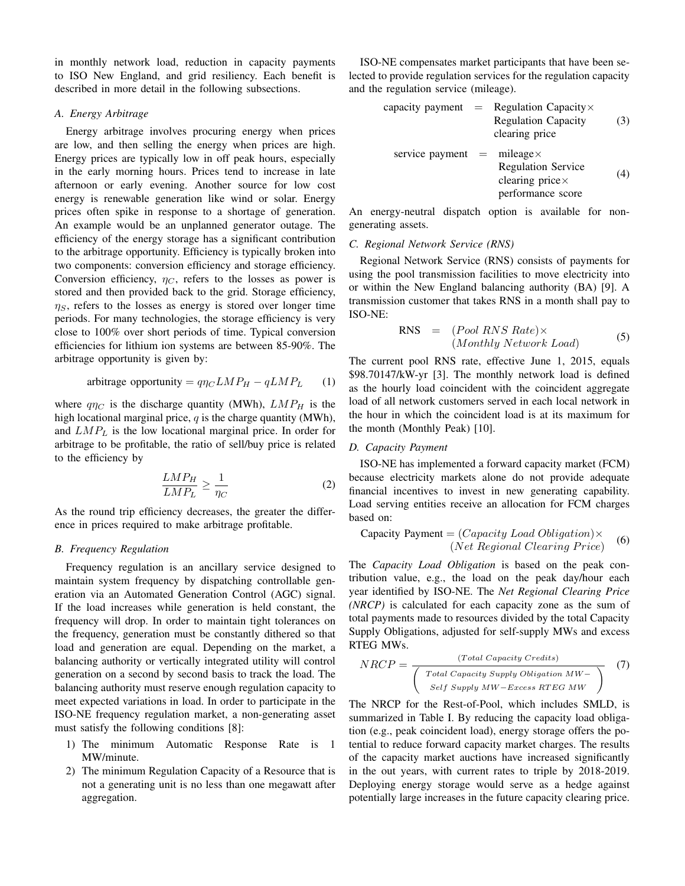in monthly network load, reduction in capacity payments to ISO New England, and grid resiliency. Each benefit is described in more detail in the following subsections.

# *A. Energy Arbitrage*

Energy arbitrage involves procuring energy when prices are low, and then selling the energy when prices are high. Energy prices are typically low in off peak hours, especially in the early morning hours. Prices tend to increase in late afternoon or early evening. Another source for low cost energy is renewable generation like wind or solar. Energy prices often spike in response to a shortage of generation. An example would be an unplanned generator outage. The efficiency of the energy storage has a significant contribution to the arbitrage opportunity. Efficiency is typically broken into two components: conversion efficiency and storage efficiency. Conversion efficiency,  $\eta_C$ , refers to the losses as power is stored and then provided back to the grid. Storage efficiency,  $\eta_s$ , refers to the losses as energy is stored over longer time periods. For many technologies, the storage efficiency is very close to 100% over short periods of time. Typical conversion efficiencies for lithium ion systems are between 85-90%. The arbitrage opportunity is given by:

arbitrage opportunity = 
$$
q\eta_C L M P_H - q L M P_L
$$
 (1)

where  $q\eta_C$  is the discharge quantity (MWh),  $LMP_H$  is the high locational marginal price,  $q$  is the charge quantity (MWh), and  $LMP<sub>L</sub>$  is the low locational marginal price. In order for arbitrage to be profitable, the ratio of sell/buy price is related to the efficiency by

$$
\frac{LMP_H}{LMP_L} \ge \frac{1}{\eta_C} \tag{2}
$$

As the round trip efficiency decreases, the greater the difference in prices required to make arbitrage profitable.

# *B. Frequency Regulation*

Frequency regulation is an ancillary service designed to maintain system frequency by dispatching controllable generation via an Automated Generation Control (AGC) signal. If the load increases while generation is held constant, the frequency will drop. In order to maintain tight tolerances on the frequency, generation must be constantly dithered so that load and generation are equal. Depending on the market, a balancing authority or vertically integrated utility will control generation on a second by second basis to track the load. The balancing authority must reserve enough regulation capacity to meet expected variations in load. In order to participate in the ISO-NE frequency regulation market, a non-generating asset must satisfy the following conditions [8]:

- 1) The minimum Automatic Response Rate is 1 MW/minute.
- 2) The minimum Regulation Capacity of a Resource that is not a generating unit is no less than one megawatt after aggregation.

ISO-NE compensates market participants that have been selected to provide regulation services for the regulation capacity and the regulation service (mileage).

capacity payment = Regulation Capacity× Regulation Capacity clearing price (3) service payment = mileage× Regulation Service clearing price× performance score (4)

An energy-neutral dispatch option is available for nongenerating assets.

#### *C. Regional Network Service (RNS)*

Regional Network Service (RNS) consists of payments for using the pool transmission facilities to move electricity into or within the New England balancing authority (BA) [9]. A transmission customer that takes RNS in a month shall pay to ISO-NE:

RNS = 
$$
(Pool RNS Rate) \times
$$
  
\n $(Monthly Network Load)$  (5)

The current pool RNS rate, effective June 1, 2015, equals \$98.70147/kW-yr [3]. The monthly network load is defined as the hourly load coincident with the coincident aggregate load of all network customers served in each local network in the hour in which the coincident load is at its maximum for the month (Monthly Peak) [10].

# *D. Capacity Payment*

ISO-NE has implemented a forward capacity market (FCM) because electricity markets alone do not provide adequate financial incentives to invest in new generating capability. Load serving entities receive an allocation for FCM charges based on:

\n
$$
\text{Capacity Payment} = (Capacity Load Obligation) \times
$$
\n  
\n*(Net Regional Clearing Price)*\n

The *Capacity Load Obligation* is based on the peak contribution value, e.g., the load on the peak day/hour each year identified by ISO-NE. The *Net Regional Clearing Price (NRCP)* is calculated for each capacity zone as the sum of total payments made to resources divided by the total Capacity Supply Obligations, adjusted for self-supply MWs and excess RTEG MWs.

$$
NRCP = \frac{(Total Capacity Credits)}{\left(\begin{array}{c} Total Capacity Solution MW - \\ Self Supply MW - Excess RTEG MW\end{array}\right)} \quad (7)
$$

The NRCP for the Rest-of-Pool, which includes SMLD, is summarized in Table I. By reducing the capacity load obligation (e.g., peak coincident load), energy storage offers the potential to reduce forward capacity market charges. The results of the capacity market auctions have increased significantly in the out years, with current rates to triple by 2018-2019. Deploying energy storage would serve as a hedge against potentially large increases in the future capacity clearing price.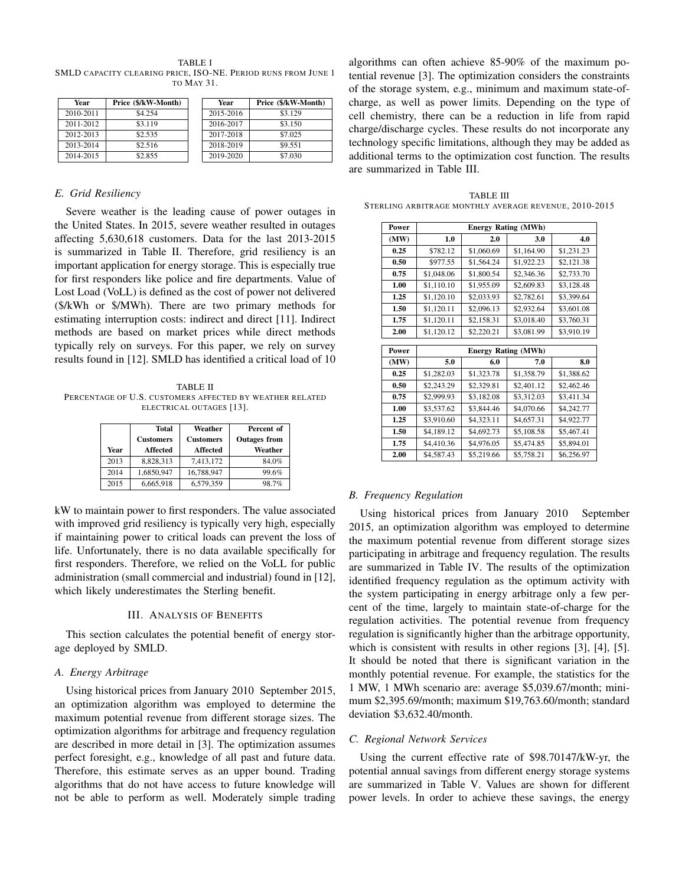TABLE I SMLD CAPACITY CLEARING PRICE, ISO-NE. PERIOD RUNS FROM JUNE 1 TO MAY 31.

| Year      | Price (\$/kW-Month) | Year      | Price (\$/kW-Month) |
|-----------|---------------------|-----------|---------------------|
| 2010-2011 | \$4.254             | 2015-2016 | \$3.129             |
| 2011-2012 | \$3.119             | 2016-2017 | \$3.150             |
| 2012-2013 | \$2.535             | 2017-2018 | \$7.025             |
| 2013-2014 | \$2.516             | 2018-2019 | \$9.551             |
| 2014-2015 | \$2.855             | 2019-2020 | \$7.030             |

#### *E. Grid Resiliency*

Severe weather is the leading cause of power outages in the United States. In 2015, severe weather resulted in outages affecting 5,630,618 customers. Data for the last 2013-2015 is summarized in Table II. Therefore, grid resiliency is an important application for energy storage. This is especially true for first responders like police and fire departments. Value of Lost Load (VoLL) is defined as the cost of power not delivered (\$/kWh or \$/MWh). There are two primary methods for estimating interruption costs: indirect and direct [11]. Indirect methods are based on market prices while direct methods typically rely on surveys. For this paper, we rely on survey results found in [12]. SMLD has identified a critical load of 10

TABLE II PERCENTAGE OF U.S. CUSTOMERS AFFECTED BY WEATHER RELATED ELECTRICAL OUTAGES [13].

| Year | Total<br><b>Customers</b><br><b>Affected</b> | Weather<br><b>Customers</b><br><b>Affected</b> | Percent of<br><b>Outages from</b><br>Weather |
|------|----------------------------------------------|------------------------------------------------|----------------------------------------------|
| 2013 | 8,828,313                                    | 7,413,172                                      | 84.0%                                        |
| 2014 | 1,6850,947                                   | 16,788,947                                     | 99.6%                                        |
| 2015 | 6,665,918                                    | 6,579,359                                      | 98.7%                                        |

kW to maintain power to first responders. The value associated with improved grid resiliency is typically very high, especially if maintaining power to critical loads can prevent the loss of life. Unfortunately, there is no data available specifically for first responders. Therefore, we relied on the VoLL for public administration (small commercial and industrial) found in [12], which likely underestimates the Sterling benefit.

# III. ANALYSIS OF BENEFITS

This section calculates the potential benefit of energy storage deployed by SMLD.

#### *A. Energy Arbitrage*

Using historical prices from January 2010 September 2015, an optimization algorithm was employed to determine the maximum potential revenue from different storage sizes. The optimization algorithms for arbitrage and frequency regulation are described in more detail in [3]. The optimization assumes perfect foresight, e.g., knowledge of all past and future data. Therefore, this estimate serves as an upper bound. Trading algorithms that do not have access to future knowledge will not be able to perform as well. Moderately simple trading

algorithms can often achieve 85-90% of the maximum potential revenue [3]. The optimization considers the constraints of the storage system, e.g., minimum and maximum state-ofcharge, as well as power limits. Depending on the type of cell chemistry, there can be a reduction in life from rapid charge/discharge cycles. These results do not incorporate any technology specific limitations, although they may be added as additional terms to the optimization cost function. The results are summarized in Table III.

TABLE III STERLING ARBITRAGE MONTHLY AVERAGE REVENUE, 2010-2015

| Power | <b>Energy Rating (MWh)</b> |            |                            |            |  |  |
|-------|----------------------------|------------|----------------------------|------------|--|--|
| (MW)  | 1.0                        | 2.0        | 3.0                        | 4.0        |  |  |
| 0.25  | \$782.12                   | \$1,060.69 | \$1,164.90                 | \$1,231.23 |  |  |
| 0.50  | \$977.55                   | \$1,564.24 | \$1,922.23                 | \$2,121.38 |  |  |
| 0.75  | \$1,048.06                 | \$1,800.54 | \$2,346.36                 | \$2,733.70 |  |  |
| 1.00  | \$1,110.10                 | \$1,955.09 | \$2,609.83                 | \$3,128.48 |  |  |
| 1.25  | \$1,120.10                 | \$2,033.93 | \$2,782.61                 | \$3,399.64 |  |  |
| 1.50  | \$1,120.11                 | \$2,096.13 | \$2,932.64                 | \$3,601.08 |  |  |
| 1.75  | \$1,120.11                 | \$2,158.31 | \$3,018.40                 | \$3,760.31 |  |  |
| 2.00  | \$1,120.12                 | \$2,220.21 | \$3,081.99                 | \$3,910.19 |  |  |
|       |                            |            |                            |            |  |  |
| Power |                            |            | <b>Energy Rating (MWh)</b> |            |  |  |
| (MW)  | 5.0                        | 6.0        | 7.0                        | 8.0        |  |  |
| 0.25  | \$1,282.03                 | \$1,323.78 | \$1,358.79                 | \$1,388.62 |  |  |
| 0.50  | \$2,243.29                 | \$2,329.81 | \$2,401.12                 | \$2,462.46 |  |  |
| 0.75  | \$2,999.93                 | \$3,182.08 | \$3,312.03                 | \$3,411.34 |  |  |
| 1.00  | \$3,537.62                 | \$3,844.46 | \$4,070.66                 | \$4,242.77 |  |  |
| 1.25  | \$3,910.60                 | \$4,323.11 | \$4,657.31                 | \$4,922.77 |  |  |
| 1.50  | \$4,189.12                 | \$4,692.73 | \$5,108.58                 | \$5,467.41 |  |  |
| 1.75  | \$4,410.36                 | \$4,976.05 | \$5,474.85                 | \$5,894.01 |  |  |
| 2.00  | \$4,587.43                 | \$5,219.66 | \$5,758.21                 | \$6,256.97 |  |  |

#### *B. Frequency Regulation*

Using historical prices from January 2010 September 2015, an optimization algorithm was employed to determine the maximum potential revenue from different storage sizes participating in arbitrage and frequency regulation. The results are summarized in Table IV. The results of the optimization identified frequency regulation as the optimum activity with the system participating in energy arbitrage only a few percent of the time, largely to maintain state-of-charge for the regulation activities. The potential revenue from frequency regulation is significantly higher than the arbitrage opportunity, which is consistent with results in other regions [3], [4], [5]. It should be noted that there is significant variation in the monthly potential revenue. For example, the statistics for the 1 MW, 1 MWh scenario are: average \$5,039.67/month; minimum \$2,395.69/month; maximum \$19,763.60/month; standard deviation \$3,632.40/month.

## *C. Regional Network Services*

Using the current effective rate of \$98.70147/kW-yr, the potential annual savings from different energy storage systems are summarized in Table V. Values are shown for different power levels. In order to achieve these savings, the energy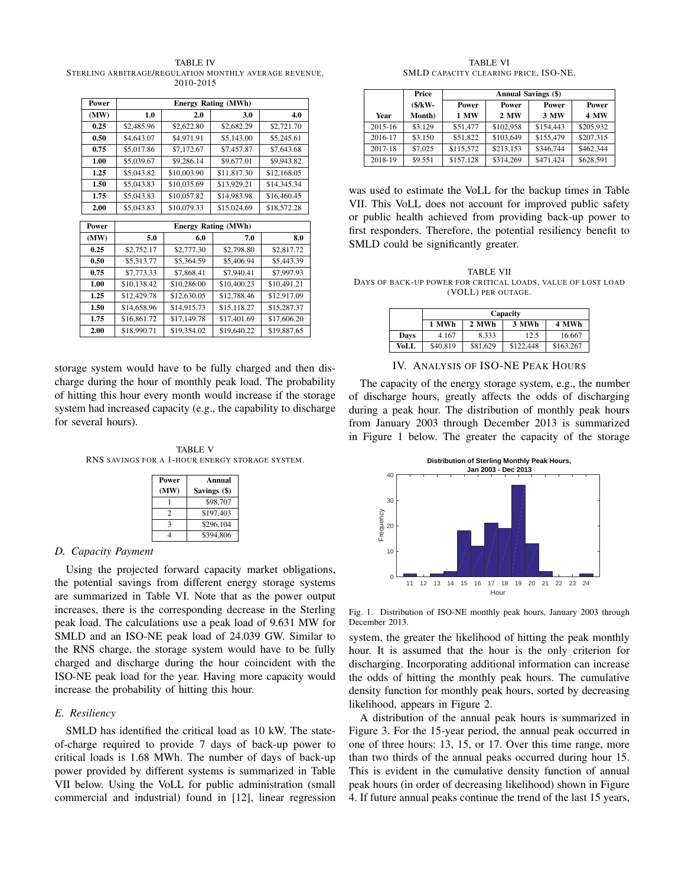TABLE IV STERLING ARBITRAGE/REGULATION MONTHLY AVERAGE REVENUE, 2010-2015

| Power | <b>Energy Rating (MWh)</b> |             |                            |             |  |  |
|-------|----------------------------|-------------|----------------------------|-------------|--|--|
| (MW)  | 1.0                        | 2.0         | 3.0                        | 4.0         |  |  |
| 0.25  | \$2,485.96                 | \$2,622.80  | \$2,682.29                 | \$2,721.70  |  |  |
| 0.50  | \$4,643.07                 | \$4,971.91  | \$5,143.00                 | \$5,245.61  |  |  |
| 0.75  | \$5,017.86                 | \$7,172.67  | \$7,457.87                 | \$7,643.68  |  |  |
| 1.00  | \$5,039.67                 | \$9,286.14  | \$9,677.01                 | \$9,943.82  |  |  |
| 1.25  | \$5,043.82                 | \$10,003.90 | \$11,817.30                | \$12,168.05 |  |  |
| 1.50  | \$5,043.83                 | \$10,035.69 | \$13,929.21                | \$14,345.34 |  |  |
| 1.75  | \$5,043.83                 | \$10,057.82 | \$14,983.98                | \$16,460.45 |  |  |
| 2.00  | \$5,043.83                 | \$10,079.33 | \$15,024.69                | \$18,572.28 |  |  |
|       |                            |             |                            |             |  |  |
| Power |                            |             | <b>Energy Rating (MWh)</b> |             |  |  |
| (MW)  | 5.0                        | 6.0         | 7.0                        | 8.0         |  |  |
| 0.25  | \$2,752.17                 | \$2,777.30  | \$2,798.80                 | \$2,817.72  |  |  |
| 0.50  | \$5,313.77                 | \$5,364.59  | \$5,406.94                 | \$5,443.39  |  |  |
| 0.75  | \$7,773.33                 | \$7,868.41  | \$7,940.41                 | \$7,997.93  |  |  |
| 1.00  | \$10,138.42                | \$10,286.00 | \$10,400.23                | \$10,491.21 |  |  |
| 1.25  | \$12,429.78                | \$12,630.05 | \$12,788.46                | \$12,917.09 |  |  |
| 1.50  | \$14,658.96                | \$14,915.73 | \$15,118.27                | \$15,287.37 |  |  |
| 1.75  | \$16,861.72                | \$17,149.78 | \$17,401.69                | \$17,606.20 |  |  |
| 2.00  | \$18,990.71                | \$19,354.02 | \$19,640.22                | \$19,887.65 |  |  |

storage system would have to be fully charged and then discharge during the hour of monthly peak load. The probability of hitting this hour every month would increase if the storage system had increased capacity (e.g., the capability to discharge for several hours).

TABLE V RNS SAVINGS FOR A 1-HOUR ENERGY STORAGE SYSTEM.

| <b>Power</b><br>(MW) | Annual<br>Savings (\$) |
|----------------------|------------------------|
|                      | \$98,707               |
| 2                    | \$197,403              |
| ٩                    | \$296,104              |
|                      | \$394,806              |

# *D. Capacity Payment*

Using the projected forward capacity market obligations, the potential savings from different energy storage systems are summarized in Table VI. Note that as the power output increases, there is the corresponding decrease in the Sterling peak load. The calculations use a peak load of 9.631 MW for SMLD and an ISO-NE peak load of 24.039 GW. Similar to the RNS charge, the storage system would have to be fully charged and discharge during the hour coincident with the ISO-NE peak load for the year. Having more capacity would increase the probability of hitting this hour.

# *E. Resiliency*

SMLD has identified the critical load as 10 kW. The stateof-charge required to provide 7 days of back-up power to critical loads is 1.68 MWh. The number of days of back-up power provided by different systems is summarized in Table VII below. Using the VoLL for public administration (small commercial and industrial) found in [12], linear regression

TABLE VI SMLD CAPACITY CLEARING PRICE, ISO-NE.

|         | Price    | <b>Annual Savings (\$)</b> |           |           |             |
|---------|----------|----------------------------|-----------|-----------|-------------|
|         | $(S/KW-$ | Power<br>Power<br>Power    |           |           | Power       |
| Year    | Month)   | 1 MW                       | 2 MW      | 3 MW      | <b>4 MW</b> |
| 2015-16 | \$3.129  | \$51,477                   | \$102,958 | \$154,443 | \$205,932   |
| 2016-17 | \$3.150  | \$51,822                   | \$103,649 | \$155,479 | \$207,315   |
| 2017-18 | \$7.025  | \$115,572                  | \$213.153 | \$346,744 | \$462,344   |
| 2018-19 | \$9.551  | \$157.128                  | \$314,269 | \$471,424 | \$628,591   |

was used to estimate the VoLL for the backup times in Table VII. This VoLL does not account for improved public safety or public health achieved from providing back-up power to first responders. Therefore, the potential resiliency benefit to SMLD could be significantly greater.

TABLE VII DAYS OF BACK-UP POWER FOR CRITICAL LOADS, VALUE OF LOST LOAD (VOLL) PER OUTAGE.

|      | Capacity |          |           |           |
|------|----------|----------|-----------|-----------|
|      | 1 MWh    | 2 MWh    | 3 MWh     | 4 MWh     |
| Days | 4.167    | 8.333    | 12.5      | 16.667    |
| VoLL | \$40,819 | \$81,629 | \$122,448 | \$163,267 |

IV. ANALYSIS OF ISO-NE PEAK HOURS

The capacity of the energy storage system, e.g., the number of discharge hours, greatly affects the odds of discharging during a peak hour. The distribution of monthly peak hours from January 2003 through December 2013 is summarized in Figure 1 below. The greater the capacity of the storage



Fig. 1. Distribution of ISO-NE monthly peak hours, January 2003 through December 2013.

system, the greater the likelihood of hitting the peak monthly hour. It is assumed that the hour is the only criterion for discharging. Incorporating additional information can increase the odds of hitting the monthly peak hours. The cumulative density function for monthly peak hours, sorted by decreasing likelihood, appears in Figure 2.

A distribution of the annual peak hours is summarized in Figure 3. For the 15-year period, the annual peak occurred in one of three hours: 13, 15, or 17. Over this time range, more than two thirds of the annual peaks occurred during hour 15. This is evident in the cumulative density function of annual peak hours (in order of decreasing likelihood) shown in Figure 4. If future annual peaks continue the trend of the last 15 years,